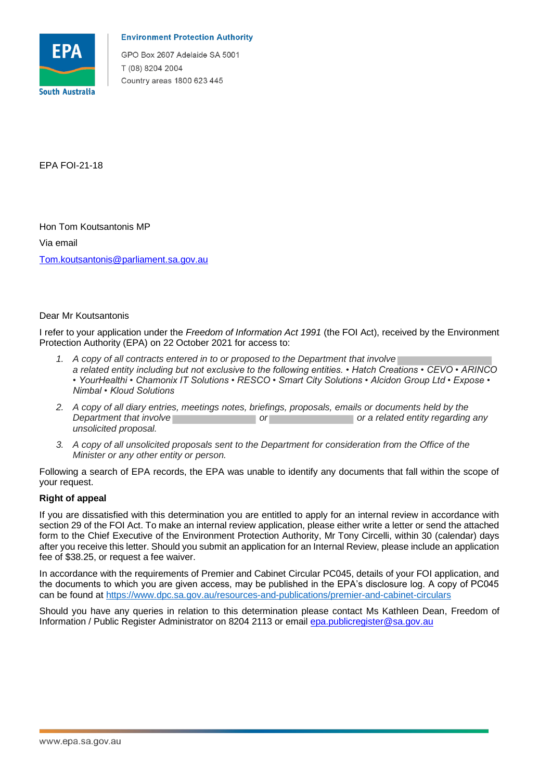

## **Environment Protection Authority**

GPO Box 2607 Adelaide SA 5001 T (08) 8204 2004 Country areas 1800 623 445

EPA FOI-21-18

Hon Tom Koutsantonis MP Via email Tom.koutsantonis@parliament.sa.gov.au

## Dear Mr Koutsantonis

 I refer to your application under the *Freedom of Information Act 1991* (the FOI Act), received by the Environment Protection Authority (EPA) on 22 October 2021 for access to:

- *1. A copy of all contracts entered in to or proposed to the Department that involve a related entity including but not exclusive to the following entities. • Hatch Creations • CEVO • ARINCO • YourHealthi • Chamonix IT Solutions • RESCO • Smart City Solutions • Alcidon Group Ltd • Expose • Nimbal • Kloud Solutions*
- *2. A copy of all diary entries, meetings notes, briefings, proposals, emails or documents held by the*  **Department that involve** *Department that involve Department that involve* **<b>or a related entity regarding any** *unsolicited proposal. or*
- *3. A copy of all unsolicited proposals sent to the Department for consideration from the Office of the Minister or any other entity or person.*

 Following a search of EPA records, the EPA was unable to identify any documents that fall within the scope of your request.

## **Right of appeal**

 If you are dissatisfied with this determination you are entitled to apply for an internal review in accordance with section 29 of the FOI Act. To make an internal review application, please either write a letter or send the attached form to the Chief Executive of the Environment Protection Authority, Mr Tony Circelli, within 30 (calendar) days after you receive this letter. Should you submit an application for an Internal Review, please include an application fee of \$38.25, or request a fee waiver.

 In accordance with the requirements of Premier and Cabinet Circular PC045, details of your FOI application, and the documents to which you are given access, may be published in the EPA's disclosure log. A copy of PC045 can be found at https://www.dpc.sa.gov.au/resources-and-publications/premier-and-cabinet-circulars

 Should you have any queries in relation to this determination please contact Ms Kathleen Dean, Freedom of Information / Public Register Administrator on 8204 2113 or email epa.publicregister@sa.gov.au